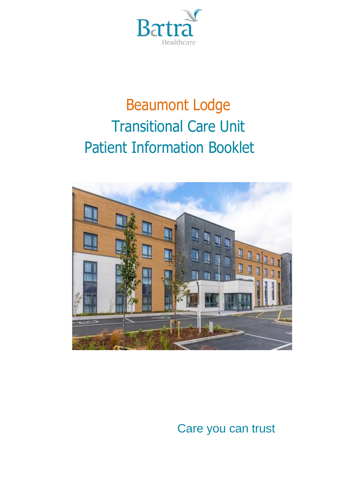

# Beaumont Lodge Transitional Care Unit Patient Information Booklet



Care you can trust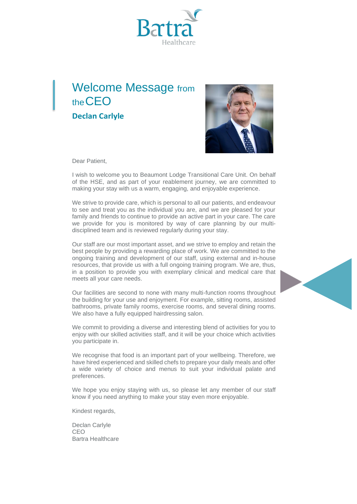

### Welcome Message from theCEO **Declan Carlyle**



Dear Patient,

I wish to welcome you to Beaumont Lodge Transitional Care Unit. On behalf of the HSE, and as part of your reablement journey, we are committed to making your stay with us a warm, engaging, and enjoyable experience.

We strive to provide care, which is personal to all our patients, and endeavour to see and treat you as the individual you are, and we are pleased for your family and friends to continue to provide an active part in your care. The care we provide for you is monitored by way of care planning by our multidisciplined team and is reviewed regularly during your stay.

Our staff are our most important asset, and we strive to employ and retain the best people by providing a rewarding place of work. We are committed to the ongoing training and development of our staff, using external and in-house resources, that provide us with a full ongoing training program. We are, thus, in a position to provide you with exemplary clinical and medical care that meets all your care needs.

Our facilities are second to none with many multi-function rooms throughout the building for your use and enjoyment. For example, sitting rooms, assisted bathrooms, private family rooms, exercise rooms, and several dining rooms. We also have a fully equipped hairdressing salon.

We commit to providing a diverse and interesting blend of activities for you to enjoy with our skilled activities staff, and it will be your choice which activities you participate in.

We recognise that food is an important part of your wellbeing. Therefore, we have hired experienced and skilled chefs to prepare your daily meals and offer a wide variety of choice and menus to suit your individual palate and preferences.

We hope you enjoy staying with us, so please let any member of our staff know if you need anything to make your stay even more enjoyable.

Kindest regards,

Declan Carlyle CEO Bartra Healthcare

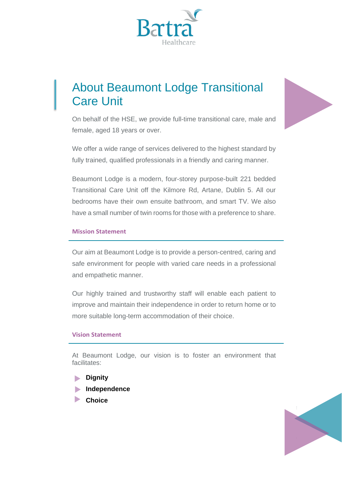

### About Beaumont Lodge Transitional Care Unit



On behalf of the HSE, we provide full-time transitional care, male and female, aged 18 years or over.

We offer a wide range of services delivered to the highest standard by fully trained, qualified professionals in a friendly and caring manner.

Beaumont Lodge is a modern, four-storey purpose-built 221 bedded Transitional Care Unit off the Kilmore Rd, Artane, Dublin 5. All our bedrooms have their own ensuite bathroom, and smart TV. We also have a small number of twin rooms for those with a preference to share.

#### **Mission Statement**

Our aim at Beaumont Lodge is to provide a person-centred, caring and safe environment for people with varied care needs in a professional and empathetic manner.

Our highly trained and trustworthy staff will enable each patient to improve and maintain their independence in order to return home or to more suitable long-term accommodation of their choice.

#### **Vision Statement**

At Beaumont Lodge, our vision is to foster an environment that facilitates:

- **Dignity**
- **Independence**
- **Choice**

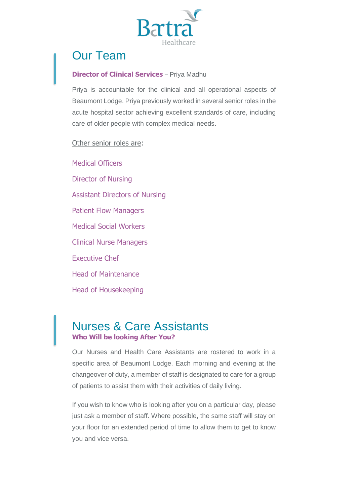

### Our Team

#### **Director of Clinical Services** – Priya Madhu

Priya is accountable for the clinical and all operational aspects of Beaumont Lodge. Priya previously worked in several senior roles in the acute hospital sector achieving excellent standards of care, including care of older people with complex medical needs.

Other senior roles are:

Medical Officers Director of Nursing Assistant Directors of Nursing Patient Flow Managers Medical Social Workers Clinical Nurse Managers Executive Chef Head of Maintenance Head of Housekeeping

### Nurses & Care Assistants **Who Will be looking After You?**

Our Nurses and Health Care Assistants are rostered to work in a specific area of Beaumont Lodge. Each morning and evening at the changeover of duty, a member of staff is designated to care for a group of patients to assist them with their activities of daily living.

If you wish to know who is looking after you on a particular day, please just ask a member of staff. Where possible, the same staff will stay on your floor for an extended period of time to allow them to get to know you and vice versa.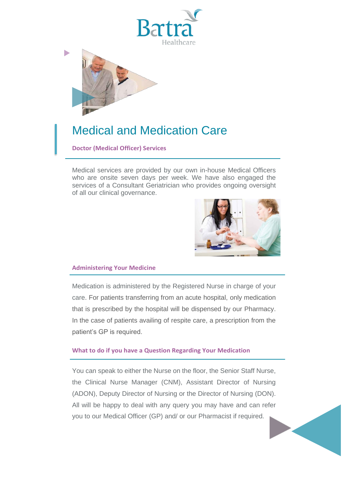



### Medical and Medication Care

**Doctor (Medical Officer) Services**

Medical services are provided by our own in-house Medical Officers who are onsite seven days per week. We have also engaged the services of a Consultant Geriatrician who provides ongoing oversight of all our clinical governance.



#### **Administering Your Medicine**

Medication is administered by the Registered Nurse in charge of your care. For patients transferring from an acute hospital, only medication that is prescribed by the hospital will be dispensed by our Pharmacy. In the case of patients availing of respite care, a prescription from the patient's GP is required.

#### **What to do if you have a Question Regarding Your Medication**

You can speak to either the Nurse on the floor, the Senior Staff Nurse, the Clinical Nurse Manager (CNM), Assistant Director of Nursing (ADON), Deputy Director of Nursing or the Director of Nursing (DON). All will be happy to deal with any query you may have and can refer you to our Medical Officer (GP) and/ or our Pharmacist if required.

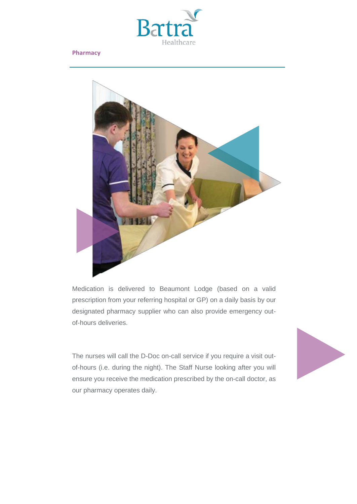

#### **Pharmacy**



Medication is delivered to Beaumont Lodge (based on a valid prescription from your referring hospital or GP) on a daily basis by our designated pharmacy supplier who can also provide emergency outof-hours deliveries.

The nurses will call the D-Doc on-call service if you require a visit outof-hours (i.e. during the night). The Staff Nurse looking after you will ensure you receive the medication prescribed by the on-call doctor, as our pharmacy operates daily.

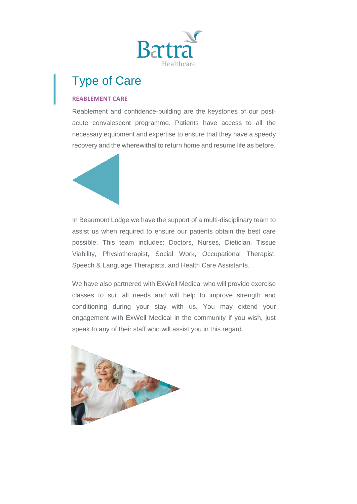

## Type of Care

#### **REABLEMENT CARE**

Reablement and confidence-building are the keystones of our postacute convalescent programme. Patients have access to all the necessary equipment and expertise to ensure that they have a speedy recovery and the wherewithal to return home and resume life as before.



In Beaumont Lodge we have the support of a multi-disciplinary team to assist us when required to ensure our patients obtain the best care possible. This team includes: Doctors, Nurses, Dietician, Tissue Viability, Physiotherapist, Social Work, Occupational Therapist, Speech & Language Therapists, and Health Care Assistants.

We have also partnered with ExWell Medical who will provide exercise classes to suit all needs and will help to improve strength and conditioning during your stay with us. You may extend your engagement with ExWell Medical in the community if you wish, just speak to any of their staff who will assist you in this regard.

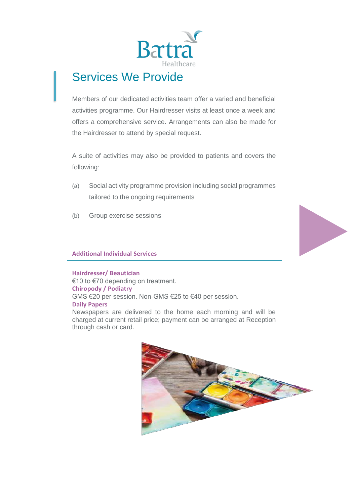

### Services We Provide

Members of our dedicated activities team offer a varied and beneficial activities programme. Our Hairdresser visits at least once a week and offers a comprehensive service. Arrangements can also be made for the Hairdresser to attend by special request.

A suite of activities may also be provided to patients and covers the following:

- (a) Social activity programme provision including social programmes tailored to the ongoing requirements
- (b) Group exercise sessions

#### **Additional Individual Services**

**Hairdresser/ Beautician** €10 to €70 depending on treatment. **Chiropody / Podiatry** GMS €20 per session. Non-GMS €25 to €40 per session. **Daily Papers** Newspapers are delivered to the home each morning and will be charged at current retail price; payment can be arranged at Reception through cash or card.

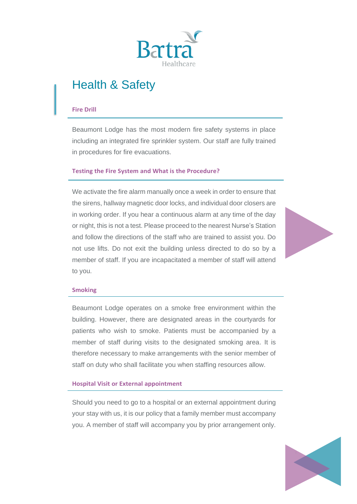

### Health & Safety

#### **Fire Drill**

Beaumont Lodge has the most modern fire safety systems in place including an integrated fire sprinkler system. Our staff are fully trained in procedures for fire evacuations.

#### **Testing the Fire System and What is the Procedure?**

We activate the fire alarm manually once a week in order to ensure that the sirens, hallway magnetic door locks, and individual door closers are in working order. If you hear a continuous alarm at any time of the day or night, this is not a test. Please proceed to the nearest Nurse's Station and follow the directions of the staff who are trained to assist you. Do not use lifts. Do not exit the building unless directed to do so by a member of staff. If you are incapacitated a member of staff will attend to you.



#### **Smoking**

Beaumont Lodge operates on a smoke free environment within the building. However, there are designated areas in the courtyards for patients who wish to smoke. Patients must be accompanied by a member of staff during visits to the designated smoking area. It is therefore necessary to make arrangements with the senior member of staff on duty who shall facilitate you when staffing resources allow.

#### **Hospital Visit or External appointment**

Should you need to go to a hospital or an external appointment during your stay with us, it is our policy that a family member must accompany you. A member of staff will accompany you by prior arrangement only.

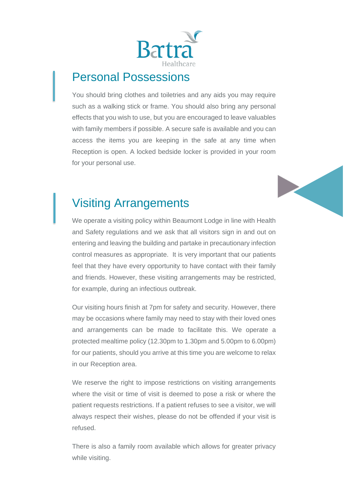

### Personal Possessions

You should bring clothes and toiletries and any aids you may require such as a walking stick or frame. You should also bring any personal effects that you wish to use, but you are encouraged to leave valuables with family members if possible. A secure safe is available and you can access the items you are keeping in the safe at any time when Reception is open. A locked bedside locker is provided in your room for your personal use.



### Visiting Arrangements

We operate a visiting policy within Beaumont Lodge in line with Health and Safety regulations and we ask that all visitors sign in and out on entering and leaving the building and partake in precautionary infection control measures as appropriate. It is very important that our patients feel that they have every opportunity to have contact with their family and friends. However, these visiting arrangements may be restricted, for example, during an infectious outbreak.

Our visiting hours finish at 7pm for safety and security. However, there may be occasions where family may need to stay with their loved ones and arrangements can be made to facilitate this. We operate a protected mealtime policy (12.30pm to 1.30pm and 5.00pm to 6.00pm) for our patients, should you arrive at this time you are welcome to relax in our Reception area.

We reserve the right to impose restrictions on visiting arrangements where the visit or time of visit is deemed to pose a risk or where the patient requests restrictions. If a patient refuses to see a visitor, we will always respect their wishes, please do not be offended if your visit is refused.

There is also a family room available which allows for greater privacy while visiting.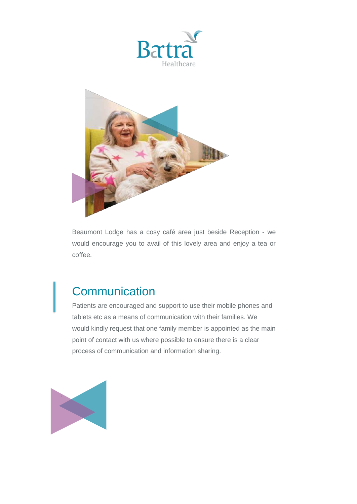



Beaumont Lodge has a cosy café area just beside Reception - we would encourage you to avail of this lovely area and enjoy a tea or coffee.

### **Communication**

Patients are encouraged and support to use their mobile phones and tablets etc as a means of communication with their families. We would kindly request that one family member is appointed as the main point of contact with us where possible to ensure there is a clear process of communication and information sharing.

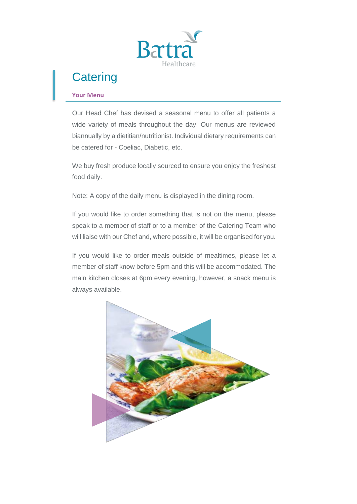

### **Catering**

#### **Your Menu**

Our Head Chef has devised a seasonal menu to offer all patients a wide variety of meals throughout the day. Our menus are reviewed biannually by a dietitian/nutritionist. Individual dietary requirements can be catered for - Coeliac, Diabetic, etc.

We buy fresh produce locally sourced to ensure you enjoy the freshest food daily.

Note: A copy of the daily menu is displayed in the dining room.

If you would like to order something that is not on the menu, please speak to a member of staff or to a member of the Catering Team who will liaise with our Chef and, where possible, it will be organised for you.

If you would like to order meals outside of mealtimes, please let a member of staff know before 5pm and this will be accommodated. The main kitchen closes at 6pm every evening, however, a snack menu is always available.

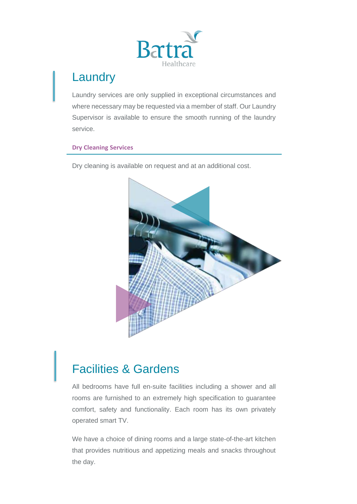

### **Laundry**

Laundry services are only supplied in exceptional circumstances and where necessary may be requested via a member of staff. Our Laundry Supervisor is available to ensure the smooth running of the laundry service.

#### **Dry Cleaning Services**

Dry cleaning is available on request and at an additional cost.



### Facilities & Gardens

All bedrooms have full en-suite facilities including a shower and all rooms are furnished to an extremely high specification to guarantee comfort, safety and functionality. Each room has its own privately operated smart TV.

We have a choice of dining rooms and a large state-of-the-art kitchen that provides nutritious and appetizing meals and snacks throughout the day.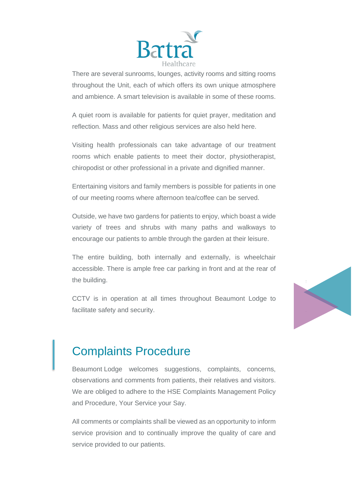

There are several sunrooms, lounges, activity rooms and sitting rooms throughout the Unit, each of which offers its own unique atmosphere and ambience. A smart television is available in some of these rooms.

A quiet room is available for patients for quiet prayer, meditation and reflection. Mass and other religious services are also held here.

Visiting health professionals can take advantage of our treatment rooms which enable patients to meet their doctor, physiotherapist, chiropodist or other professional in a private and dignified manner.

Entertaining visitors and family members is possible for patients in one of our meeting rooms where afternoon tea/coffee can be served.

Outside, we have two gardens for patients to enjoy, which boast a wide variety of trees and shrubs with many paths and walkways to encourage our patients to amble through the garden at their leisure.

The entire building, both internally and externally, is wheelchair accessible. There is ample free car parking in front and at the rear of the building.

CCTV is in operation at all times throughout Beaumont Lodge to facilitate safety and security.



### Complaints Procedure

Beaumont Lodge welcomes suggestions, complaints, concerns, observations and comments from patients, their relatives and visitors. We are obliged to adhere to the HSE Complaints Management Policy and Procedure, Your Service your Say.

All comments or complaints shall be viewed as an opportunity to inform service provision and to continually improve the quality of care and service provided to our patients.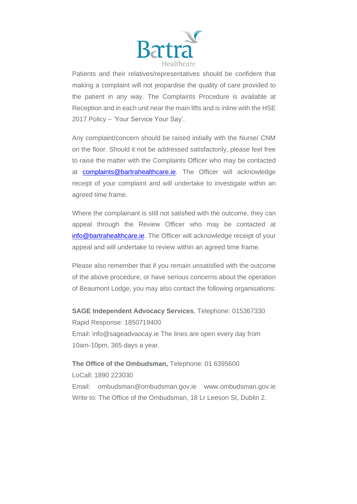

Patients and their relatives/representatives should be confident that making a complaint will not jeopardise the quality of care provided to the patient in any way. The Complaints Procedure is available at Reception and in each unit near the main lifts and is inline with the HSE 2017 Policy – 'Your Service Your Say'.

Any complaint/concern should be raised initially with the Nurse/ CNM on the floor. Should it not be addressed satisfactorily, please feel free to raise the matter with the Complaints Officer who may be contacted at [complaints@bartrahealthcare.ie.](mailto:complaints@bartrahealthcare.ie) The Officer will acknowledge receipt of your complaint and will undertake to investigate within an agreed time frame.

Where the complainant is still not satisfied with the outcome, they can appeal through the Review Officer who may be contacted at [info@bartrahealthcare.ie.](mailto:info@bartrahealthcare.ie) The Officer will acknowledge receipt of your appeal and will undertake to review within an agreed time frame.

Please also remember that if you remain unsatisfied with the outcome of the above procedure, or have serious concerns about the operation of Beaumont Lodge, you may also contact the following organisations:

**SAGE Independent Advocacy Services**, Telephone: 015367330 Rapid Response: 1850719400 Email: info@sageadvaocay.ie The lines are open every day from 10am-10pm, 365 days a year.

**The Office of the Ombudsman,** Telephone: 01 6395600 LoCall: 1890 223030 Email: ombudsman@ombudsman.gov.ie www.ombudsman.gov.ie Write to: The Office of the Ombudsman, 18 Lr Leeson St, Dublin 2.